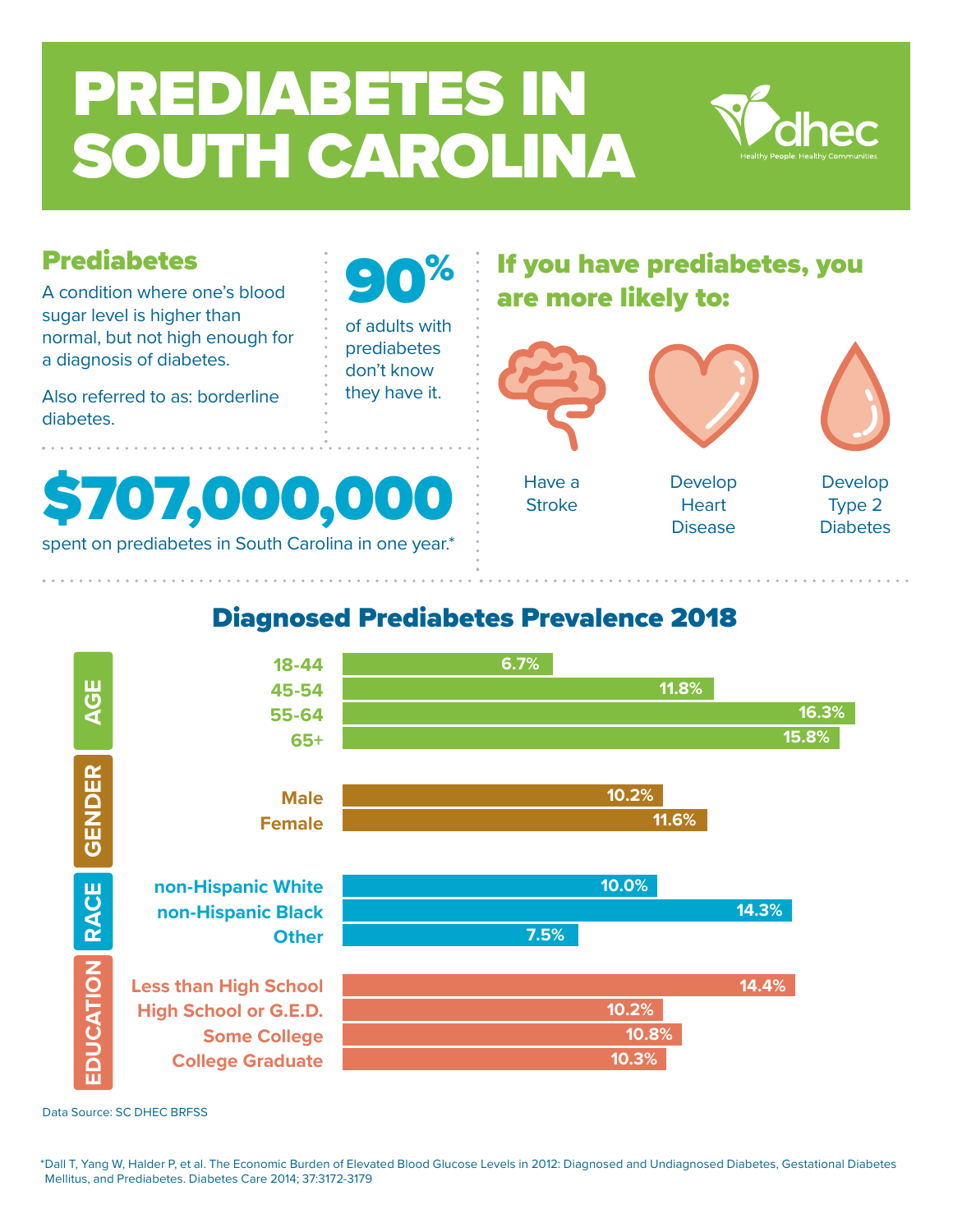# PREDIABETES IN SOUTH CAROLINA

**0%** 

of adults with prediabetes don't know they have it.



## Prediabetes

A condition where one's blood sugar level is higher than normal, but not high enough for a diagnosis of diabetes.

Also referred to as: borderline diabetes.



spent on prediabetes in South Carolina in one year.\*

# If you have prediabetes, you are more likely to:



## Diagnosed Prediabetes Prevalence 2018



Data Source: SC DHEC BRFSS